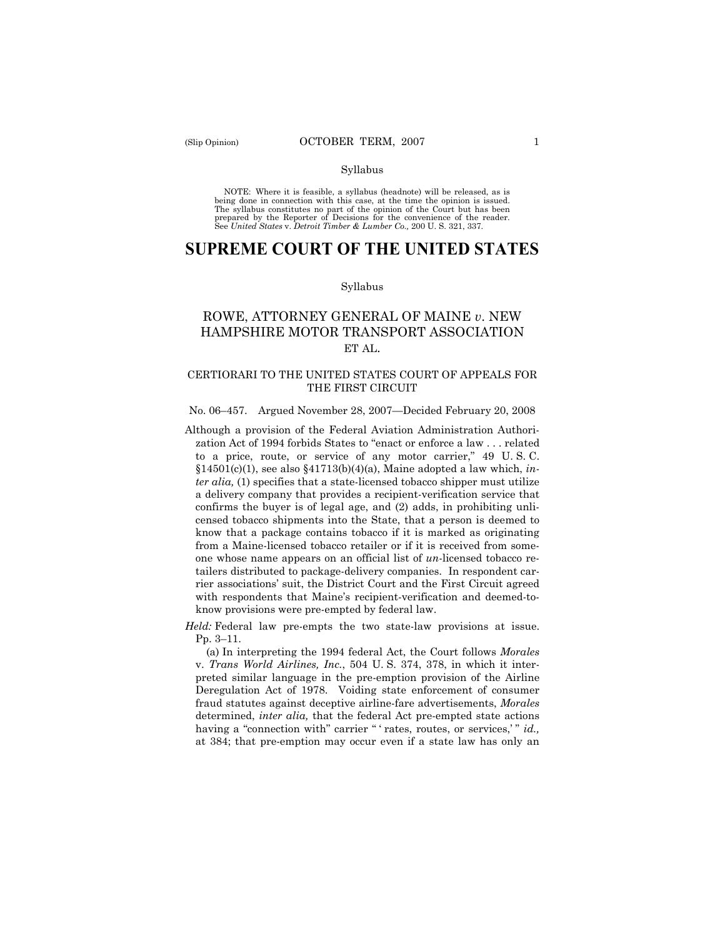#### Syllabus

NOTE: Where it is feasible, a syllabus (headnote) will be released, as is being done in connection with this case, at the time the opinion is issued. The syllabus constitutes no part of the opinion of the Court but has been<br>prepared by the Reporter of Decisions for the convenience of the reader.<br>See United States v. Detroit Timber & Lumber Co., 200 U. S. 321, 337.

# **SUPREME COURT OF THE UNITED STATES**

#### Syllabus

## ROWE, ATTORNEY GENERAL OF MAINE *v*. NEW HAMPSHIRE MOTOR TRANSPORT ASSOCIATION ET AL.

## CERTIORARI TO THE UNITED STATES COURT OF APPEALS FOR THE FIRST CIRCUIT

#### No. 06–457. Argued November 28, 2007—Decided February 20, 2008

Although a provision of the Federal Aviation Administration Authorization Act of 1994 forbids States to "enact or enforce a law . . . related to a price, route, or service of any motor carrier," 49 U. S. C. §14501(c)(1), see also §41713(b)(4)(a), Maine adopted a law which, *inter alia,* (1) specifies that a state-licensed tobacco shipper must utilize a delivery company that provides a recipient-verification service that confirms the buyer is of legal age, and (2) adds, in prohibiting unlicensed tobacco shipments into the State, that a person is deemed to know that a package contains tobacco if it is marked as originating from a Maine-licensed tobacco retailer or if it is received from someone whose name appears on an official list of *un*-licensed tobacco retailers distributed to package-delivery companies. In respondent carrier associations' suit, the District Court and the First Circuit agreed with respondents that Maine's recipient-verification and deemed-toknow provisions were pre-empted by federal law.

*Held:* Federal law pre-empts the two state-law provisions at issue. Pp. 3–11.

(a) In interpreting the 1994 federal Act, the Court follows *Morales*  v. *Trans World Airlines, Inc.*, 504 U. S. 374, 378, in which it interpreted similar language in the pre-emption provision of the Airline Deregulation Act of 1978. Voiding state enforcement of consumer fraud statutes against deceptive airline-fare advertisements, *Morales*  determined, *inter alia,* that the federal Act pre-empted state actions having a "connection with" carrier " ' rates, routes, or services,'" *id.*, at 384; that pre-emption may occur even if a state law has only an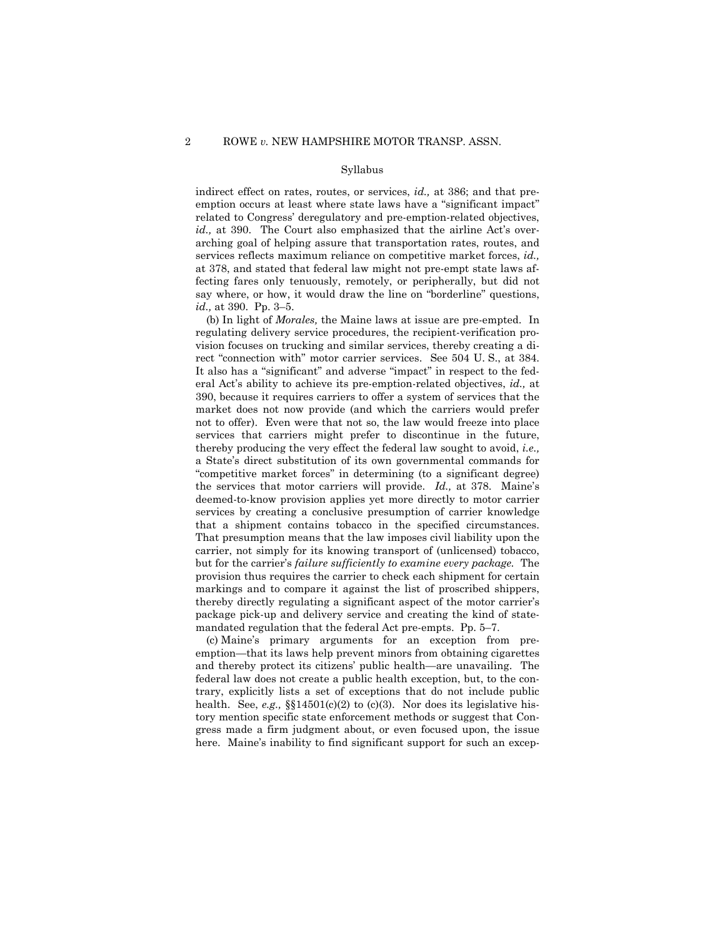#### Syllabus

indirect effect on rates, routes, or services, *id.,* at 386; and that preemption occurs at least where state laws have a "significant impact" related to Congress' deregulatory and pre-emption-related objectives, *id.*, at 390. The Court also emphasized that the airline Act's overarching goal of helping assure that transportation rates, routes, and services reflects maximum reliance on competitive market forces, *id.,*  at 378, and stated that federal law might not pre-empt state laws affecting fares only tenuously, remotely, or peripherally, but did not say where, or how, it would draw the line on "borderline" questions, *id.,* at 390. Pp. 3–5.

(b) In light of *Morales,* the Maine laws at issue are pre-empted. In regulating delivery service procedures, the recipient-verification provision focuses on trucking and similar services, thereby creating a direct "connection with" motor carrier services. See 504 U. S., at 384. It also has a "significant" and adverse "impact" in respect to the federal Act's ability to achieve its pre-emption-related objectives, *id.,* at 390, because it requires carriers to offer a system of services that the market does not now provide (and which the carriers would prefer not to offer). Even were that not so, the law would freeze into place services that carriers might prefer to discontinue in the future, thereby producing the very effect the federal law sought to avoid, *i.e.,*  a State's direct substitution of its own governmental commands for "competitive market forces" in determining (to a significant degree) the services that motor carriers will provide. *Id.,* at 378. Maine's deemed-to-know provision applies yet more directly to motor carrier services by creating a conclusive presumption of carrier knowledge that a shipment contains tobacco in the specified circumstances. That presumption means that the law imposes civil liability upon the carrier, not simply for its knowing transport of (unlicensed) tobacco, but for the carrier's *failure sufficiently to examine every package.* The provision thus requires the carrier to check each shipment for certain markings and to compare it against the list of proscribed shippers, thereby directly regulating a significant aspect of the motor carrier's package pick-up and delivery service and creating the kind of statemandated regulation that the federal Act pre-empts. Pp. 5–7.

(c) Maine's primary arguments for an exception from preemption—that its laws help prevent minors from obtaining cigarettes and thereby protect its citizens' public health—are unavailing. The federal law does not create a public health exception, but, to the contrary, explicitly lists a set of exceptions that do not include public health. See, *e.g.,* §§14501(c)(2) to (c)(3). Nor does its legislative history mention specific state enforcement methods or suggest that Congress made a firm judgment about, or even focused upon, the issue here. Maine's inability to find significant support for such an excep-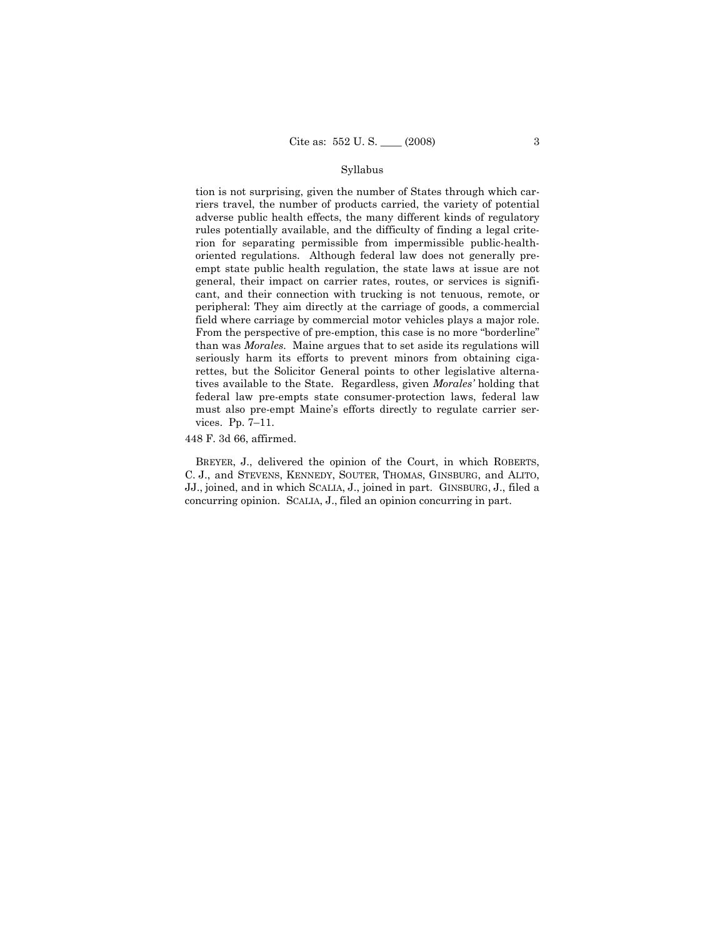## Syllabus

tion is not surprising, given the number of States through which carriers travel, the number of products carried, the variety of potential adverse public health effects, the many different kinds of regulatory rules potentially available, and the difficulty of finding a legal criterion for separating permissible from impermissible public-healthoriented regulations. Although federal law does not generally preempt state public health regulation, the state laws at issue are not general, their impact on carrier rates, routes, or services is significant, and their connection with trucking is not tenuous, remote, or peripheral: They aim directly at the carriage of goods, a commercial field where carriage by commercial motor vehicles plays a major role. From the perspective of pre-emption, this case is no more "borderline" than was *Morales.* Maine argues that to set aside its regulations will seriously harm its efforts to prevent minors from obtaining cigarettes, but the Solicitor General points to other legislative alternatives available to the State. Regardless, given *Morales'* holding that federal law pre-empts state consumer-protection laws, federal law must also pre-empt Maine's efforts directly to regulate carrier services. Pp. 7–11.

448 F. 3d 66, affirmed.

BREYER, J., delivered the opinion of the Court, in which ROBERTS, C. J., and STEVENS, KENNEDY, SOUTER, THOMAS, GINSBURG, and ALITO, JJ., joined, and in which SCALIA, J., joined in part. GINSBURG, J., filed a concurring opinion. SCALIA, J., filed an opinion concurring in part.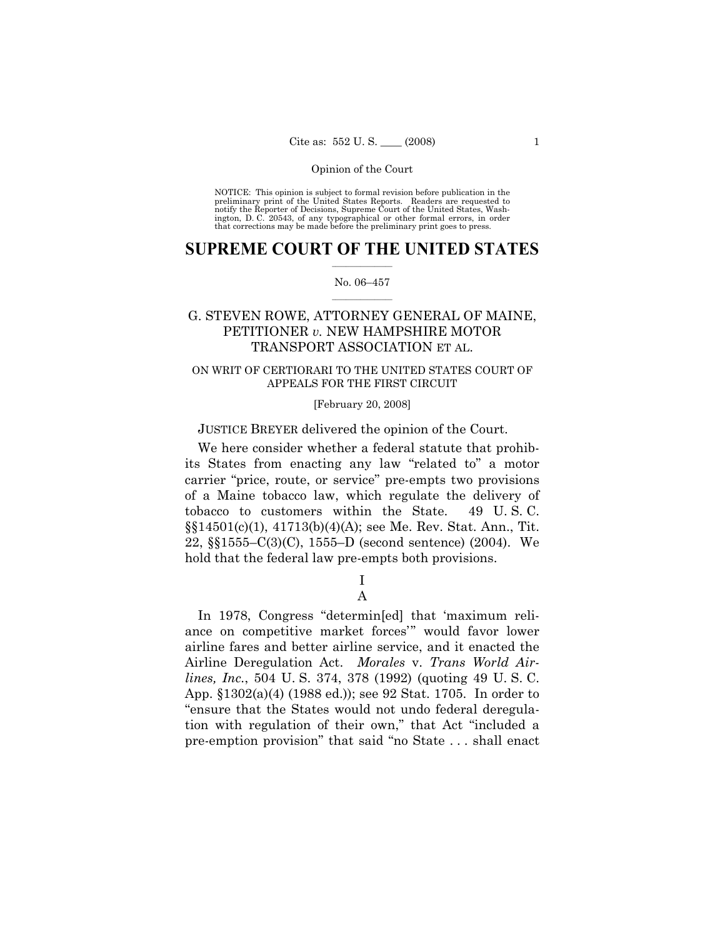NOTICE: This opinion is subject to formal revision before publication in the preliminary print of the United States Reports. Readers are requested to notify the Reporter of Decisions, Supreme Court of the United States, Washington, D. C. 20543, of any typographical or other formal errors, in order that corrections may be made before the preliminary print goes to press.

## $\frac{1}{2}$  ,  $\frac{1}{2}$  ,  $\frac{1}{2}$  ,  $\frac{1}{2}$  ,  $\frac{1}{2}$  ,  $\frac{1}{2}$  ,  $\frac{1}{2}$ **SUPREME COURT OF THE UNITED STATES**

#### $\frac{1}{2}$  ,  $\frac{1}{2}$  ,  $\frac{1}{2}$  ,  $\frac{1}{2}$  ,  $\frac{1}{2}$  ,  $\frac{1}{2}$ No. 06–457

## G. STEVEN ROWE, ATTORNEY GENERAL OF MAINE, PETITIONER *v.* NEW HAMPSHIRE MOTOR TRANSPORT ASSOCIATION ET AL.

## ON WRIT OF CERTIORARI TO THE UNITED STATES COURT OF APPEALS FOR THE FIRST CIRCUIT

## [February 20, 2008]

## JUSTICE BREYER delivered the opinion of the Court.

We here consider whether a federal statute that prohibits States from enacting any law "related to" a motor carrier "price, route, or service" pre-empts two provisions of a Maine tobacco law, which regulate the delivery of tobacco to customers within the State. 49 U. S. C. §§14501(c)(1), 41713(b)(4)(A); see Me. Rev. Stat. Ann., Tit. 22, §§1555–C(3)(C), 1555–D (second sentence) (2004). We hold that the federal law pre-empts both provisions.

## I A

In 1978, Congress "determin[ed] that 'maximum reliance on competitive market forces'" would favor lower airline fares and better airline service, and it enacted the Airline Deregulation Act. *Morales* v. *Trans World Airlines, Inc.*, 504 U. S. 374, 378 (1992) (quoting 49 U. S. C. App. §1302(a)(4) (1988 ed.)); see 92 Stat. 1705. In order to "ensure that the States would not undo federal deregulation with regulation of their own," that Act "included a pre-emption provision" that said "no State . . . shall enact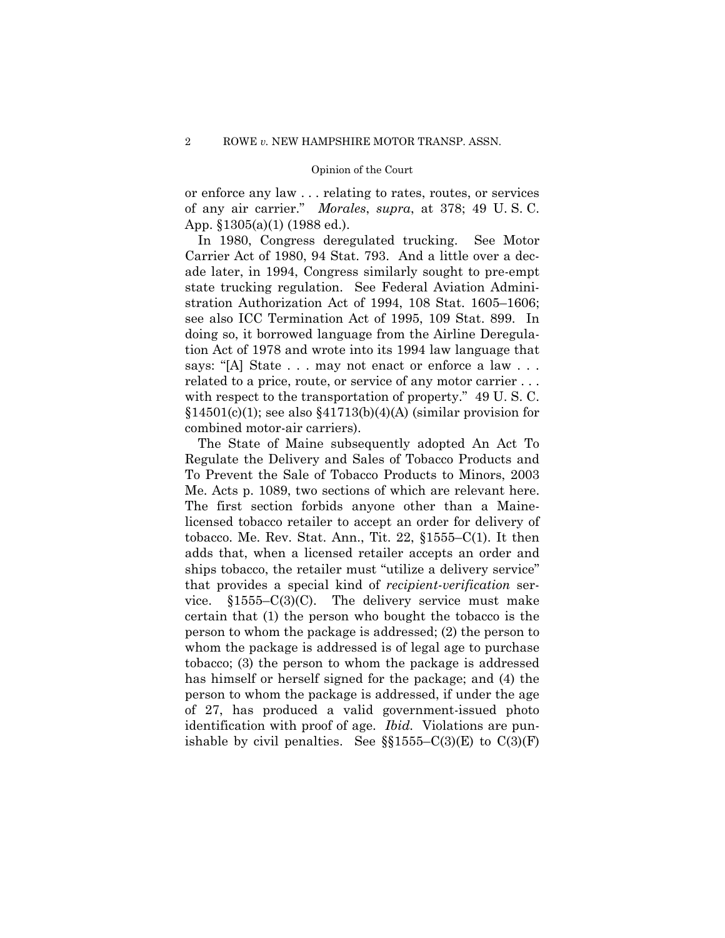or enforce any law . . . relating to rates, routes, or services of any air carrier." *Morales*, *supra*, at 378; 49 U. S. C. App. §1305(a)(1) (1988 ed.).

In 1980, Congress deregulated trucking. See Motor Carrier Act of 1980, 94 Stat. 793. And a little over a decade later, in 1994, Congress similarly sought to pre-empt state trucking regulation. See Federal Aviation Administration Authorization Act of 1994, 108 Stat. 1605–1606; see also ICC Termination Act of 1995, 109 Stat. 899. In doing so, it borrowed language from the Airline Deregulation Act of 1978 and wrote into its 1994 law language that says: "[A] State . . . may not enact or enforce a law . . . related to a price, route, or service of any motor carrier . . . with respect to the transportation of property." 49 U. S. C.  $$14501(c)(1);$  see also  $$41713(b)(4)(A)$  (similar provision for combined motor-air carriers).

The State of Maine subsequently adopted An Act To Regulate the Delivery and Sales of Tobacco Products and To Prevent the Sale of Tobacco Products to Minors, 2003 Me. Acts p. 1089, two sections of which are relevant here. The first section forbids anyone other than a Mainelicensed tobacco retailer to accept an order for delivery of tobacco. Me. Rev. Stat. Ann., Tit. 22,  $\S1555-C(1)$ . It then adds that, when a licensed retailer accepts an order and ships tobacco, the retailer must "utilize a delivery service" that provides a special kind of *recipient-verification* service. §1555–C(3)(C). The delivery service must make certain that (1) the person who bought the tobacco is the person to whom the package is addressed; (2) the person to whom the package is addressed is of legal age to purchase tobacco; (3) the person to whom the package is addressed has himself or herself signed for the package; and (4) the person to whom the package is addressed, if under the age of 27, has produced a valid government-issued photo identification with proof of age. *Ibid.* Violations are punishable by civil penalties. See  $\S$ §1555–C(3)(E) to C(3)(F)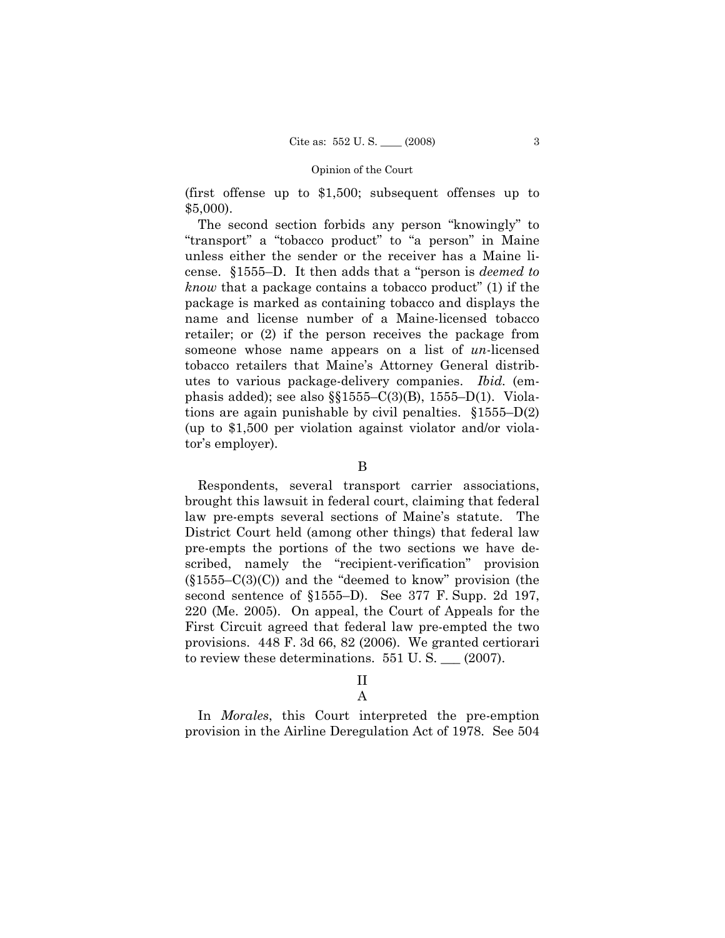(first offense up to \$1,500; subsequent offenses up to \$5,000).

The second section forbids any person "knowingly" to "transport" a "tobacco product" to "a person" in Maine unless either the sender or the receiver has a Maine license. §1555–D. It then adds that a "person is *deemed to know* that a package contains a tobacco product" (1) if the package is marked as containing tobacco and displays the name and license number of a Maine-licensed tobacco retailer; or (2) if the person receives the package from someone whose name appears on a list of *un*-licensed tobacco retailers that Maine's Attorney General distributes to various package-delivery companies. *Ibid.* (emphasis added); see also  $\S1555-C(3)(B)$ , 1555–D(1). Violations are again punishable by civil penalties. §1555–D(2) (up to \$1,500 per violation against violator and/or violator's employer).

B

Respondents, several transport carrier associations, brought this lawsuit in federal court, claiming that federal law pre-empts several sections of Maine's statute. The District Court held (among other things) that federal law pre-empts the portions of the two sections we have described, namely the "recipient-verification" provision  $(\S1555-C(3)(C))$  and the "deemed to know" provision (the second sentence of §1555–D). See 377 F. Supp. 2d 197, 220 (Me. 2005). On appeal, the Court of Appeals for the First Circuit agreed that federal law pre-empted the two provisions. 448 F. 3d 66, 82 (2006). We granted certiorari to review these determinations. 551 U.S.  $\qquad$  (2007).

# II

A

In *Morales*, this Court interpreted the pre-emption provision in the Airline Deregulation Act of 1978. See 504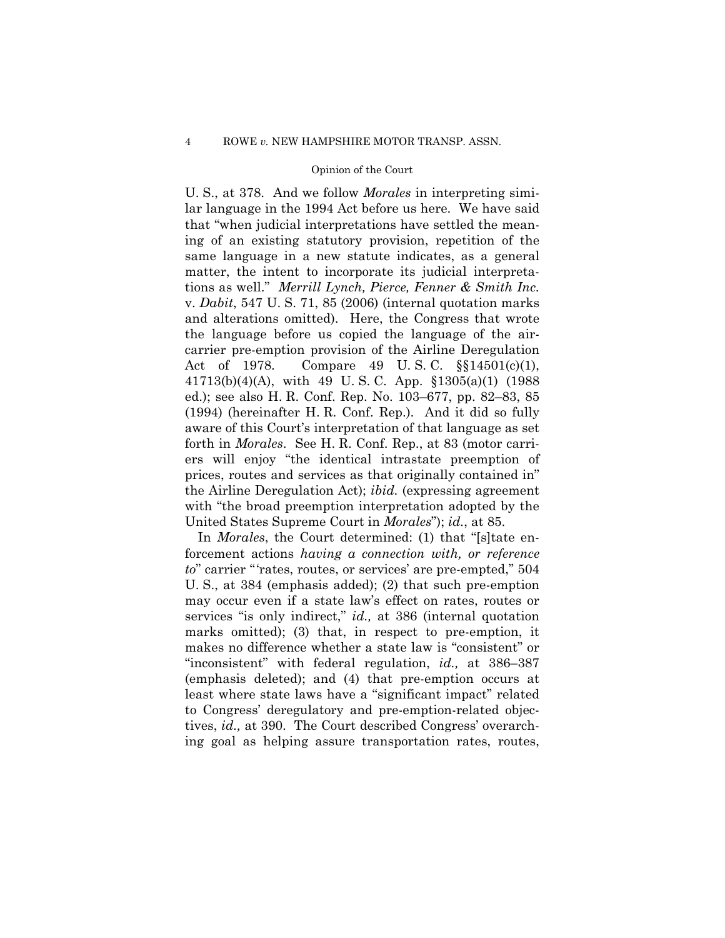U. S., at 378. And we follow *Morales* in interpreting similar language in the 1994 Act before us here. We have said that "when judicial interpretations have settled the meaning of an existing statutory provision, repetition of the same language in a new statute indicates, as a general matter, the intent to incorporate its judicial interpretations as well." *Merrill Lynch, Pierce, Fenner & Smith Inc.*  v. *Dabit*, 547 U. S. 71, 85 (2006) (internal quotation marks and alterations omitted). Here, the Congress that wrote the language before us copied the language of the aircarrier pre-emption provision of the Airline Deregulation Act of 1978. Compare 49 U. S. C. §§14501(c)(1), 41713(b)(4)(A), with 49 U. S. C. App. §1305(a)(1) (1988 ed.); see also H. R. Conf. Rep. No. 103–677, pp. 82–83, 85 (1994) (hereinafter H. R. Conf. Rep.). And it did so fully aware of this Court's interpretation of that language as set forth in *Morales*. See H. R. Conf. Rep., at 83 (motor carriers will enjoy "the identical intrastate preemption of prices, routes and services as that originally contained in" the Airline Deregulation Act); *ibid.* (expressing agreement with "the broad preemption interpretation adopted by the United States Supreme Court in *Morales*"); *id.*, at 85.

In *Morales*, the Court determined: (1) that "[s]tate enforcement actions *having a connection with, or reference to*" carrier "'rates, routes, or services' are pre-empted," 504 U. S., at 384 (emphasis added); (2) that such pre-emption may occur even if a state law's effect on rates, routes or services "is only indirect," *id.,* at 386 (internal quotation marks omitted); (3) that, in respect to pre-emption, it makes no difference whether a state law is "consistent" or "inconsistent" with federal regulation, *id.,* at 386–387 (emphasis deleted); and (4) that pre-emption occurs at least where state laws have a "significant impact" related to Congress' deregulatory and pre-emption-related objectives, *id.,* at 390. The Court described Congress' overarching goal as helping assure transportation rates, routes,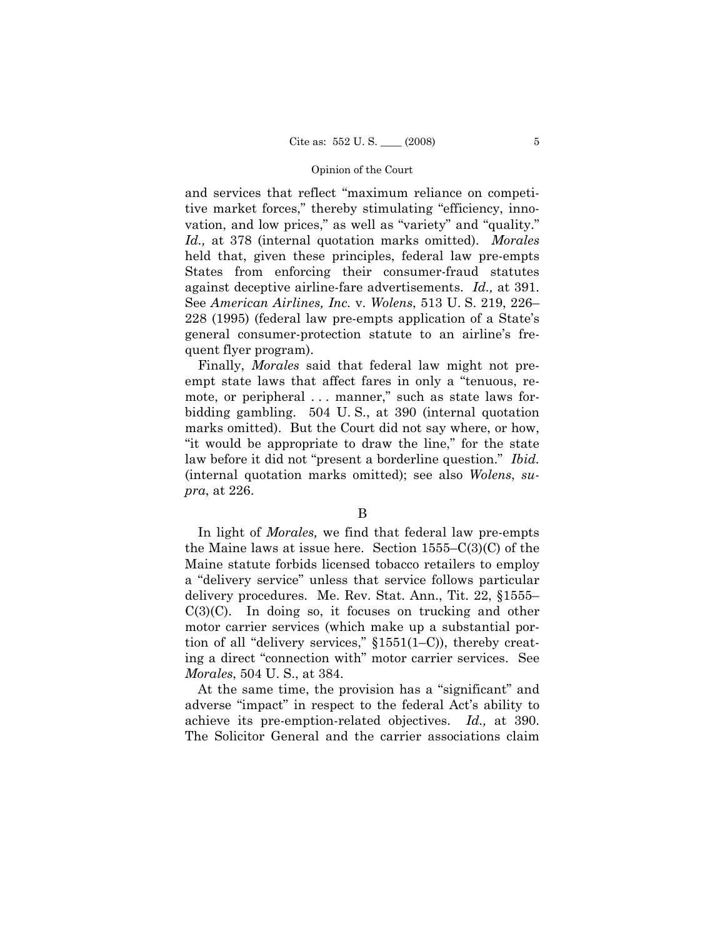and services that reflect "maximum reliance on competitive market forces," thereby stimulating "efficiency, innovation, and low prices," as well as "variety" and "quality." *Id.,* at 378 (internal quotation marks omitted). *Morales*  held that, given these principles, federal law pre-empts States from enforcing their consumer-fraud statutes against deceptive airline-fare advertisements. *Id.,* at 391. See *American Airlines, Inc.* v. *Wolens*, 513 U. S. 219, 226– 228 (1995) (federal law pre-empts application of a State's general consumer-protection statute to an airline's frequent flyer program).

Finally, *Morales* said that federal law might not preempt state laws that affect fares in only a "tenuous, remote, or peripheral ... manner," such as state laws forbidding gambling. 504 U. S., at 390 (internal quotation marks omitted). But the Court did not say where, or how, "it would be appropriate to draw the line," for the state law before it did not "present a borderline question." *Ibid.*  (internal quotation marks omitted); see also *Wolens*, *supra*, at 226.

In light of *Morales,* we find that federal law pre-empts the Maine laws at issue here. Section 1555–C(3)(C) of the Maine statute forbids licensed tobacco retailers to employ a "delivery service" unless that service follows particular delivery procedures. Me. Rev. Stat. Ann., Tit. 22, §1555–  $C(3)(C)$ . In doing so, it focuses on trucking and other motor carrier services (which make up a substantial portion of all "delivery services," §1551(1–C)), thereby creating a direct "connection with" motor carrier services. See *Morales*, 504 U. S., at 384.

At the same time, the provision has a "significant" and adverse "impact" in respect to the federal Act's ability to achieve its pre-emption-related objectives. *Id.,* at 390. The Solicitor General and the carrier associations claim

B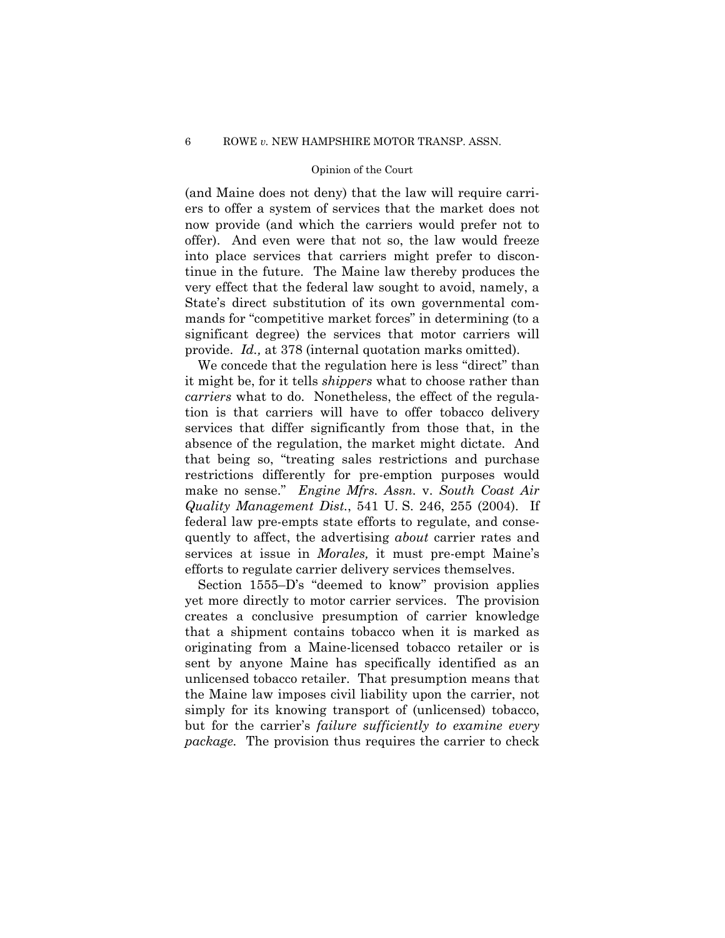(and Maine does not deny) that the law will require carriers to offer a system of services that the market does not now provide (and which the carriers would prefer not to offer). And even were that not so, the law would freeze into place services that carriers might prefer to discontinue in the future. The Maine law thereby produces the very effect that the federal law sought to avoid, namely, a State's direct substitution of its own governmental commands for "competitive market forces" in determining (to a significant degree) the services that motor carriers will provide. *Id.,* at 378 (internal quotation marks omitted).

We concede that the regulation here is less "direct" than it might be, for it tells *shippers* what to choose rather than *carriers* what to do. Nonetheless, the effect of the regulation is that carriers will have to offer tobacco delivery services that differ significantly from those that, in the absence of the regulation, the market might dictate. And that being so, "treating sales restrictions and purchase restrictions differently for pre-emption purposes would make no sense." *Engine Mfrs. Assn.* v. *South Coast Air Quality Management Dist.*, 541 U. S. 246, 255 (2004). If federal law pre-empts state efforts to regulate, and consequently to affect, the advertising *about* carrier rates and services at issue in *Morales,* it must pre-empt Maine's efforts to regulate carrier delivery services themselves.

Section 1555–D's "deemed to know" provision applies yet more directly to motor carrier services. The provision creates a conclusive presumption of carrier knowledge that a shipment contains tobacco when it is marked as originating from a Maine-licensed tobacco retailer or is sent by anyone Maine has specifically identified as an unlicensed tobacco retailer. That presumption means that the Maine law imposes civil liability upon the carrier, not simply for its knowing transport of (unlicensed) tobacco, but for the carrier's *failure sufficiently to examine every package.* The provision thus requires the carrier to check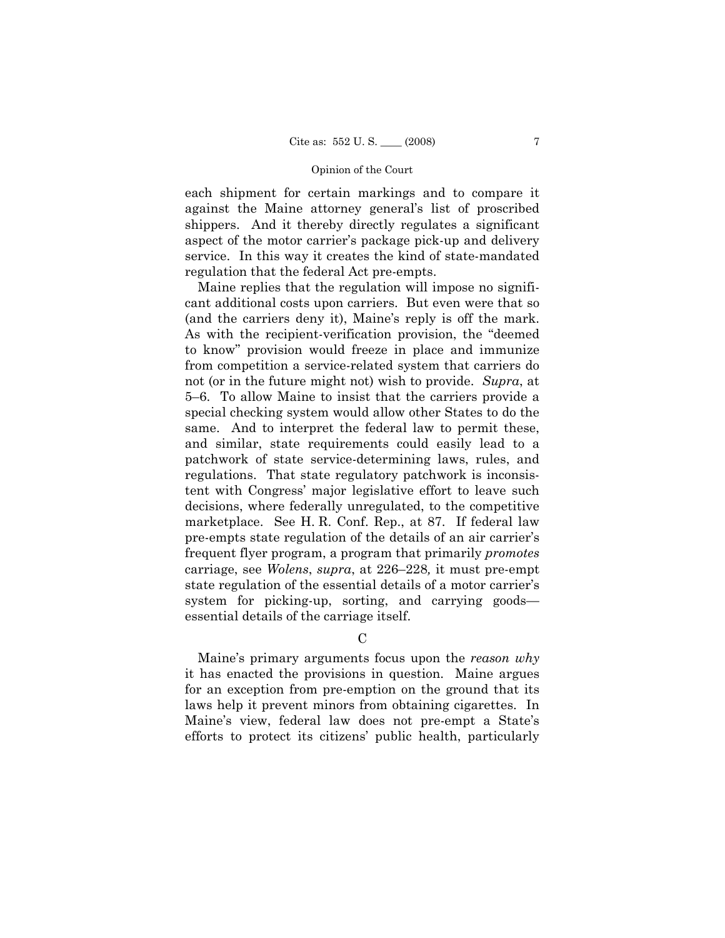each shipment for certain markings and to compare it against the Maine attorney general's list of proscribed shippers. And it thereby directly regulates a significant aspect of the motor carrier's package pick-up and delivery service. In this way it creates the kind of state-mandated regulation that the federal Act pre-empts.

Maine replies that the regulation will impose no significant additional costs upon carriers. But even were that so (and the carriers deny it), Maine's reply is off the mark. As with the recipient-verification provision, the "deemed to know" provision would freeze in place and immunize from competition a service-related system that carriers do not (or in the future might not) wish to provide. *Supra*, at 5–6. To allow Maine to insist that the carriers provide a special checking system would allow other States to do the same. And to interpret the federal law to permit these, and similar, state requirements could easily lead to a patchwork of state service-determining laws, rules, and regulations. That state regulatory patchwork is inconsistent with Congress' major legislative effort to leave such decisions, where federally unregulated, to the competitive marketplace. See H. R. Conf. Rep., at 87. If federal law pre-empts state regulation of the details of an air carrier's frequent flyer program, a program that primarily *promotes*  carriage, see *Wolens*, *supra*, at 226–228*,* it must pre-empt state regulation of the essential details of a motor carrier's system for picking-up, sorting, and carrying goods essential details of the carriage itself.

## $\mathcal{C}$

Maine's primary arguments focus upon the *reason why* it has enacted the provisions in question. Maine argues for an exception from pre-emption on the ground that its laws help it prevent minors from obtaining cigarettes. In Maine's view, federal law does not pre-empt a State's efforts to protect its citizens' public health, particularly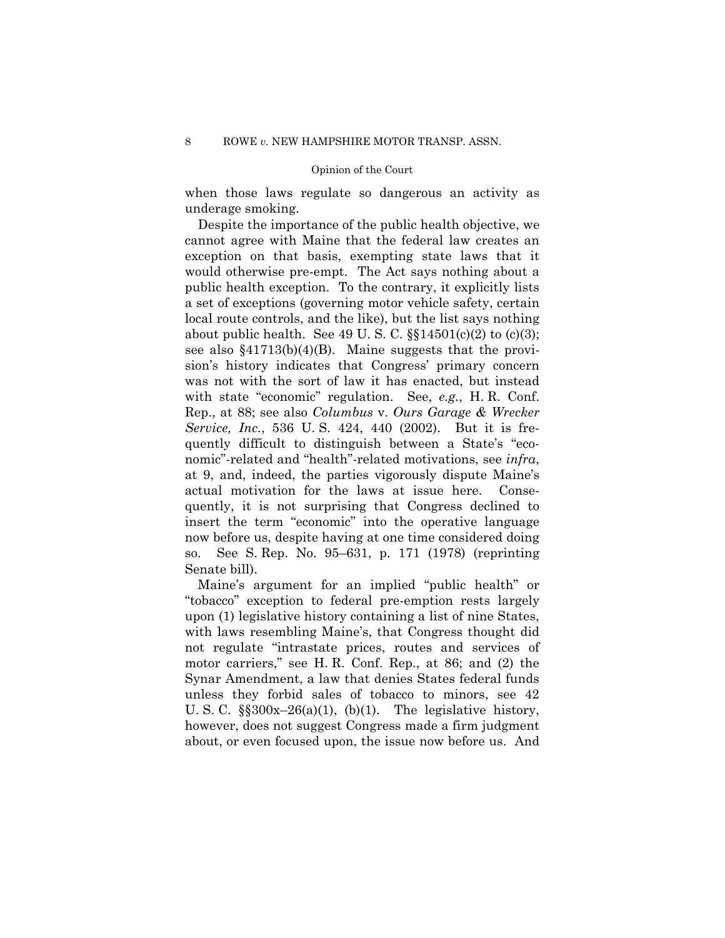when those laws regulate so dangerous an activity as underage smoking.

Despite the importance of the public health objective, we cannot agree with Maine that the federal law creates an exception on that basis, exempting state laws that it would otherwise pre-empt. The Act says nothing about a public health exception. To the contrary, it explicitly lists a set of exceptions (governing motor vehicle safety, certain local route controls, and the like), but the list says nothing about public health. See 49 U.S.C.  $\S$  $14501(c)(2)$  to  $(c)(3)$ ; see also  $$41713(b)(4)(B)$ . Maine suggests that the provision's history indicates that Congress' primary concern was not with the sort of law it has enacted, but instead with state "economic" regulation. See, *e.g.*, H. R. Conf. Rep., at 88; see also *Columbus* v. *Ours Garage & Wrecker Service, Inc.*, 536 U. S. 424, 440 (2002). But it is frequently difficult to distinguish between a State's "economic"-related and "health"-related motivations, see *infra*, at 9, and, indeed, the parties vigorously dispute Maine's actual motivation for the laws at issue here. Consequently, it is not surprising that Congress declined to insert the term "economic" into the operative language now before us, despite having at one time considered doing so. See S. Rep. No. 95–631, p. 171 (1978) (reprinting Senate bill).

Maine's argument for an implied "public health" or "tobacco" exception to federal pre-emption rests largely upon (1) legislative history containing a list of nine States, with laws resembling Maine's, that Congress thought did not regulate "intrastate prices, routes and services of motor carriers," see H. R. Conf. Rep., at 86; and (2) the Synar Amendment, a law that denies States federal funds unless they forbid sales of tobacco to minors, see 42 U. S. C.  $\S$  $300x-26(a)(1)$ , (b)(1). The legislative history, however, does not suggest Congress made a firm judgment about, or even focused upon, the issue now before us. And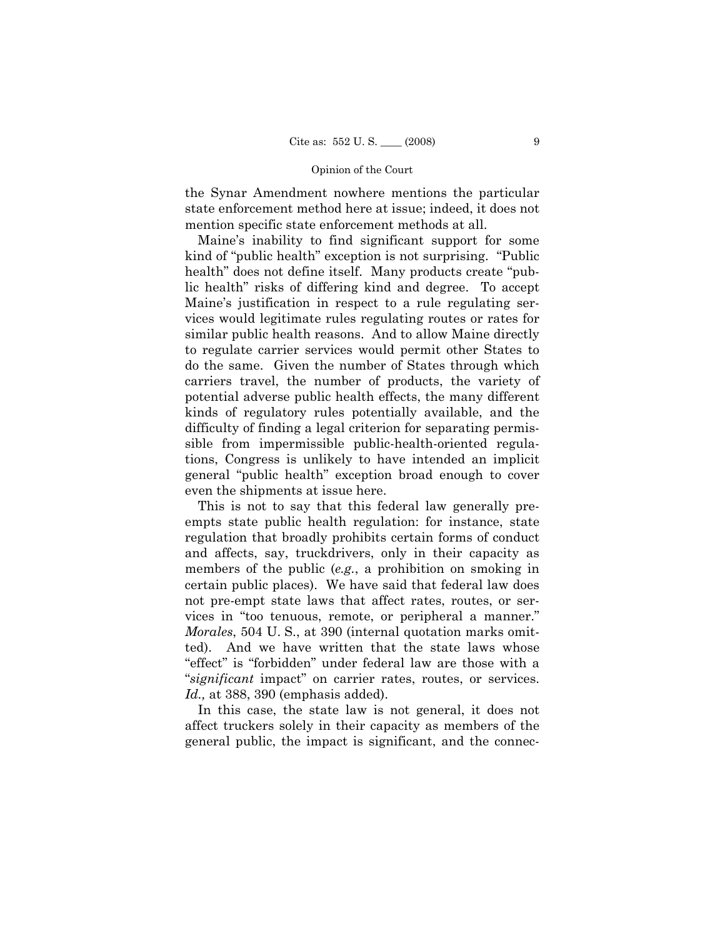the Synar Amendment nowhere mentions the particular state enforcement method here at issue; indeed, it does not mention specific state enforcement methods at all.

Maine's inability to find significant support for some kind of "public health" exception is not surprising. "Public health" does not define itself. Many products create "public health" risks of differing kind and degree. To accept Maine's justification in respect to a rule regulating services would legitimate rules regulating routes or rates for similar public health reasons. And to allow Maine directly to regulate carrier services would permit other States to do the same. Given the number of States through which carriers travel, the number of products, the variety of potential adverse public health effects, the many different kinds of regulatory rules potentially available, and the difficulty of finding a legal criterion for separating permissible from impermissible public-health-oriented regulations, Congress is unlikely to have intended an implicit general "public health" exception broad enough to cover even the shipments at issue here.

This is not to say that this federal law generally preempts state public health regulation: for instance, state regulation that broadly prohibits certain forms of conduct and affects, say, truckdrivers, only in their capacity as members of the public (*e.g.*, a prohibition on smoking in certain public places). We have said that federal law does not pre-empt state laws that affect rates, routes, or services in "too tenuous, remote, or peripheral a manner." *Morales*, 504 U. S., at 390 (internal quotation marks omitted). And we have written that the state laws whose "effect" is "forbidden" under federal law are those with a "*significant* impact" on carrier rates, routes, or services. *Id.,* at 388, 390 (emphasis added).

In this case, the state law is not general, it does not affect truckers solely in their capacity as members of the general public, the impact is significant, and the connec-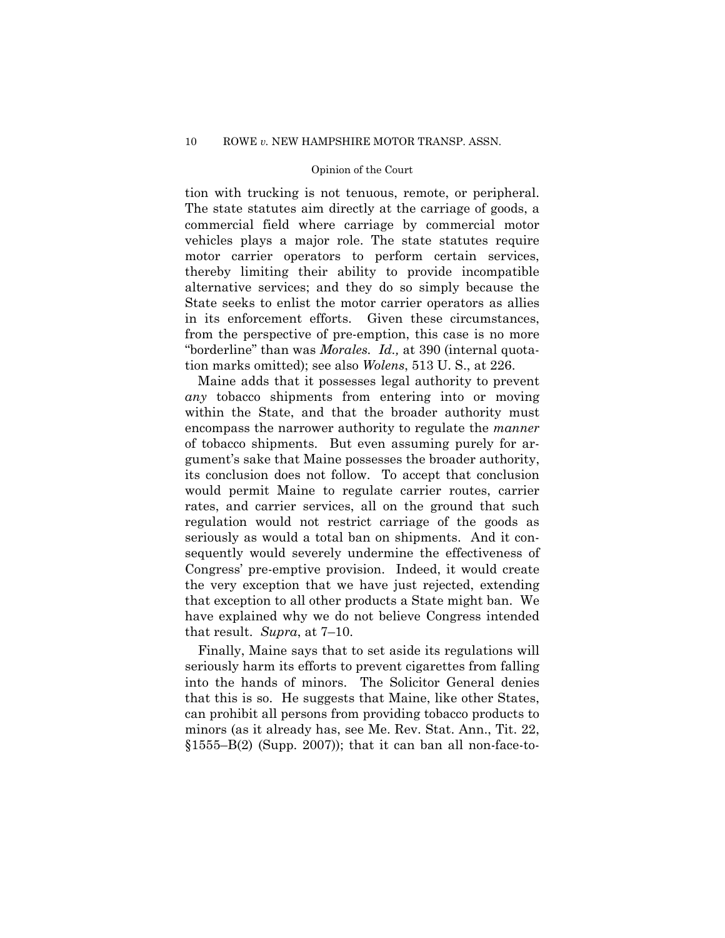tion with trucking is not tenuous, remote, or peripheral. The state statutes aim directly at the carriage of goods, a commercial field where carriage by commercial motor vehicles plays a major role. The state statutes require motor carrier operators to perform certain services, thereby limiting their ability to provide incompatible alternative services; and they do so simply because the State seeks to enlist the motor carrier operators as allies in its enforcement efforts. Given these circumstances, from the perspective of pre-emption, this case is no more "borderline" than was *Morales. Id.,* at 390 (internal quotation marks omitted); see also *Wolens*, 513 U. S., at 226.

Maine adds that it possesses legal authority to prevent *any* tobacco shipments from entering into or moving within the State, and that the broader authority must encompass the narrower authority to regulate the *manner*  of tobacco shipments. But even assuming purely for argument's sake that Maine possesses the broader authority, its conclusion does not follow. To accept that conclusion would permit Maine to regulate carrier routes, carrier rates, and carrier services, all on the ground that such regulation would not restrict carriage of the goods as seriously as would a total ban on shipments. And it consequently would severely undermine the effectiveness of Congress' pre-emptive provision. Indeed, it would create the very exception that we have just rejected, extending that exception to all other products a State might ban. We have explained why we do not believe Congress intended that result. *Supra*, at 7–10.

Finally, Maine says that to set aside its regulations will seriously harm its efforts to prevent cigarettes from falling into the hands of minors. The Solicitor General denies that this is so. He suggests that Maine, like other States, can prohibit all persons from providing tobacco products to minors (as it already has, see Me. Rev. Stat. Ann., Tit. 22,  $\S1555-B(2)$  (Supp. 2007)); that it can ban all non-face-to-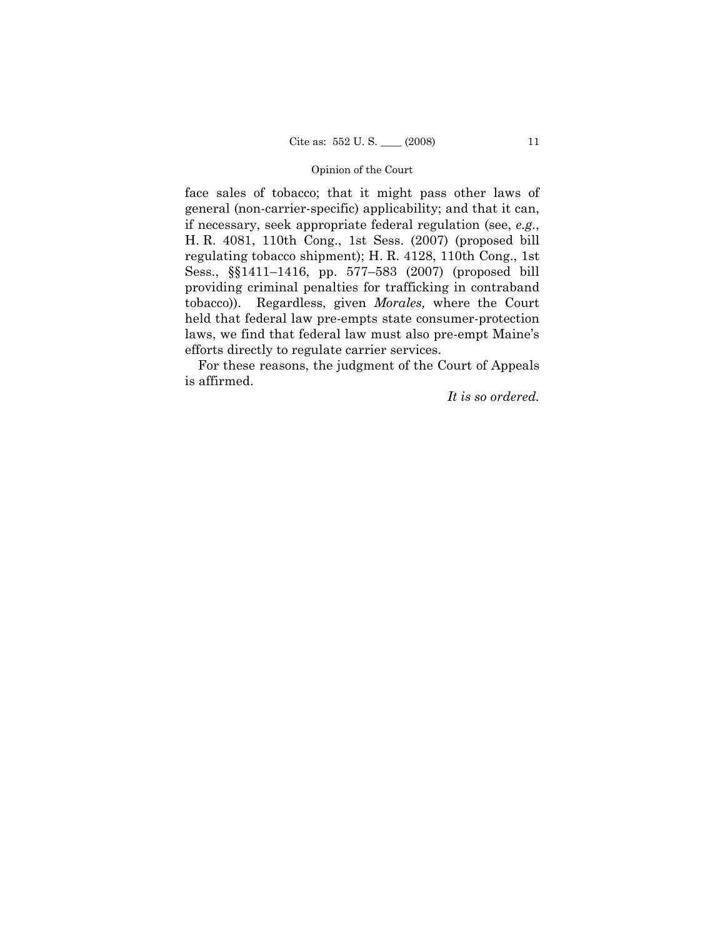face sales of tobacco; that it might pass other laws of general (non-carrier-specific) applicability; and that it can, if necessary, seek appropriate federal regulation (see, *e.g.*, H. R. 4081, 110th Cong., 1st Sess. (2007) (proposed bill regulating tobacco shipment); H. R. 4128, 110th Cong., 1st Sess., §§1411–1416, pp. 577–583 (2007) (proposed bill providing criminal penalties for trafficking in contraband tobacco)). Regardless, given *Morales,* where the Court held that federal law pre-empts state consumer-protection laws, we find that federal law must also pre-empt Maine's efforts directly to regulate carrier services.

For these reasons, the judgment of the Court of Appeals is affirmed.

*It is so ordered.*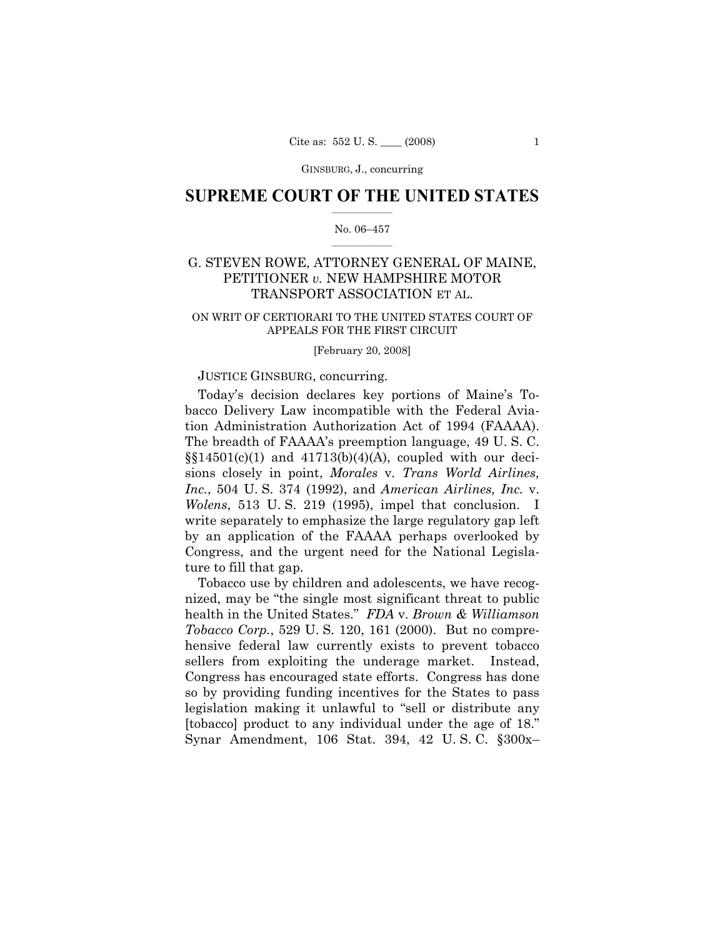GINSBURG, J., concurring

## $\frac{1}{2}$  ,  $\frac{1}{2}$  ,  $\frac{1}{2}$  ,  $\frac{1}{2}$  ,  $\frac{1}{2}$  ,  $\frac{1}{2}$  ,  $\frac{1}{2}$ **SUPREME COURT OF THE UNITED STATES**

## $\frac{1}{2}$  ,  $\frac{1}{2}$  ,  $\frac{1}{2}$  ,  $\frac{1}{2}$  ,  $\frac{1}{2}$  ,  $\frac{1}{2}$ No. 06–457

## G. STEVEN ROWE, ATTORNEY GENERAL OF MAINE, PETITIONER *v.* NEW HAMPSHIRE MOTOR TRANSPORT ASSOCIATION ET AL.

## ON WRIT OF CERTIORARI TO THE UNITED STATES COURT OF APPEALS FOR THE FIRST CIRCUIT

#### [February 20, 2008]

## JUSTICE GINSBURG, concurring.

Today's decision declares key portions of Maine's Tobacco Delivery Law incompatible with the Federal Aviation Administration Authorization Act of 1994 (FAAAA). The breadth of FAAAA's preemption language, 49 U. S. C.  $\S(14501(c)(1)$  and  $41713(b)(4)(A)$ , coupled with our decisions closely in point, *Morales* v. *Trans World Airlines, Inc.*, 504 U. S. 374 (1992), and *American Airlines, Inc.* v. *Wolens*, 513 U. S. 219 (1995), impel that conclusion. I write separately to emphasize the large regulatory gap left by an application of the FAAAA perhaps overlooked by Congress, and the urgent need for the National Legislature to fill that gap.

Tobacco use by children and adolescents, we have recognized, may be "the single most significant threat to public health in the United States." *FDA* v. *Brown & Williamson Tobacco Corp.*, 529 U. S. 120, 161 (2000). But no comprehensive federal law currently exists to prevent tobacco sellers from exploiting the underage market. Instead, Congress has encouraged state efforts. Congress has done so by providing funding incentives for the States to pass legislation making it unlawful to "sell or distribute any [tobacco] product to any individual under the age of 18." Synar Amendment, 106 Stat. 394, 42 U. S. C. §300x–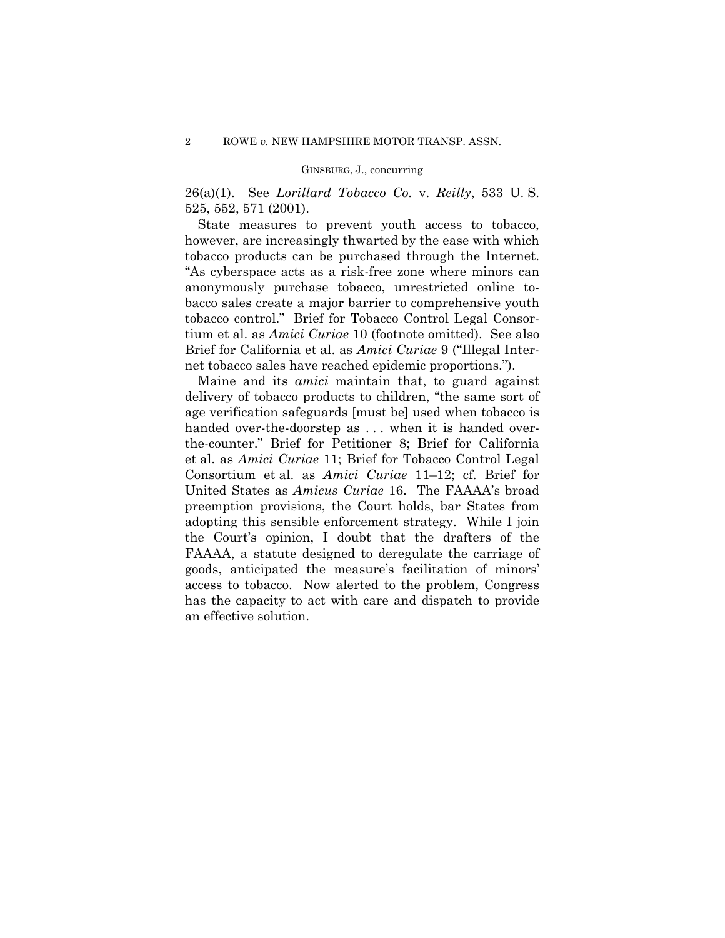## GINSBURG, J., concurring

26(a)(1). See *Lorillard Tobacco Co.* v. *Reilly*, 533 U. S. 525, 552, 571 (2001).

State measures to prevent youth access to tobacco, however, are increasingly thwarted by the ease with which tobacco products can be purchased through the Internet. "As cyberspace acts as a risk-free zone where minors can anonymously purchase tobacco, unrestricted online tobacco sales create a major barrier to comprehensive youth tobacco control." Brief for Tobacco Control Legal Consortium et al. as *Amici Curiae* 10 (footnote omitted). See also Brief for California et al. as *Amici Curiae* 9 ("Illegal Internet tobacco sales have reached epidemic proportions.").

 Maine and its *amici* maintain that, to guard against delivery of tobacco products to children, "the same sort of age verification safeguards [must be] used when tobacco is handed over-the-doorstep as ... when it is handed overthe-counter." Brief for Petitioner 8; Brief for California et al. as *Amici Curiae* 11; Brief for Tobacco Control Legal Consortium et al. as *Amici Curiae* 11–12; cf. Brief for United States as *Amicus Curiae* 16. The FAAAA's broad preemption provisions, the Court holds, bar States from adopting this sensible enforcement strategy. While I join the Court's opinion, I doubt that the drafters of the FAAAA, a statute designed to deregulate the carriage of goods, anticipated the measure's facilitation of minors' access to tobacco. Now alerted to the problem, Congress has the capacity to act with care and dispatch to provide an effective solution.